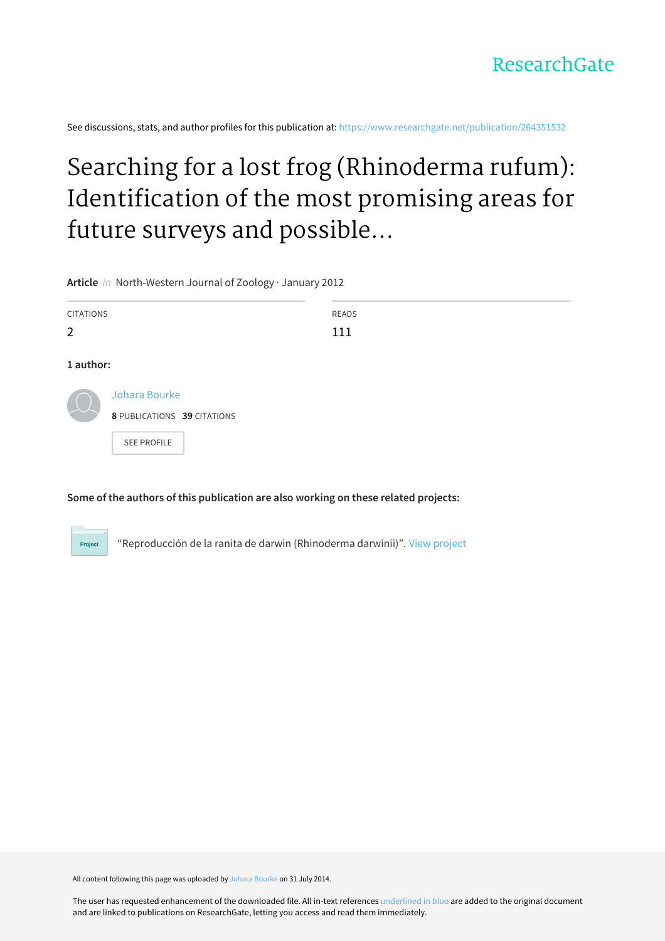See discussions, stats, and author profiles for this publication at: [https://www.researchgate.net/publication/264351532](https://www.researchgate.net/publication/264351532_Searching_for_a_lost_frog_Rhinoderma_rufum_Identification_of_the_most_promising_areas_for_future_surveys_and_possible_reasons_of_its_enigmatic_decline?enrichId=rgreq-f3f8238f6eb16f34ac2306766723702e-XXX&enrichSource=Y292ZXJQYWdlOzI2NDM1MTUzMjtBUzoxMjQ5MjQ0NDYzODQxMzBAMTQwNjc5NTcxNzkzMA%3D%3D&el=1_x_2&_esc=publicationCoverPdf)

# Searching for a lost frog (Rhinoderma rufum): Identification of the most promising areas for future surveys and possible...

**Article** in North-Western Journal of Zoology · January 2012

| <b>CITATIONS</b><br>2 |                                                                    | READS<br>111 |
|-----------------------|--------------------------------------------------------------------|--------------|
| 1 author:             |                                                                    |              |
|                       | Johara Bourke<br>8 PUBLICATIONS 39 CITATIONS<br><b>SEE PROFILE</b> |              |

**Some of the authors of this publication are also working on these related projects:**



"Reproducción de la ranita de darwin (Rhinoderma darwinii)". View [project](https://www.researchgate.net/project/Reproduccion-de-la-ranita-de-darwin-Rhinoderma-darwinii?enrichId=rgreq-f3f8238f6eb16f34ac2306766723702e-XXX&enrichSource=Y292ZXJQYWdlOzI2NDM1MTUzMjtBUzoxMjQ5MjQ0NDYzODQxMzBAMTQwNjc5NTcxNzkzMA%3D%3D&el=1_x_9&_esc=publicationCoverPdf)

All content following this page was uploaded by Johara [Bourke](https://www.researchgate.net/profile/Johara_Bourke2?enrichId=rgreq-f3f8238f6eb16f34ac2306766723702e-XXX&enrichSource=Y292ZXJQYWdlOzI2NDM1MTUzMjtBUzoxMjQ5MjQ0NDYzODQxMzBAMTQwNjc5NTcxNzkzMA%3D%3D&el=1_x_10&_esc=publicationCoverPdf) on 31 July 2014.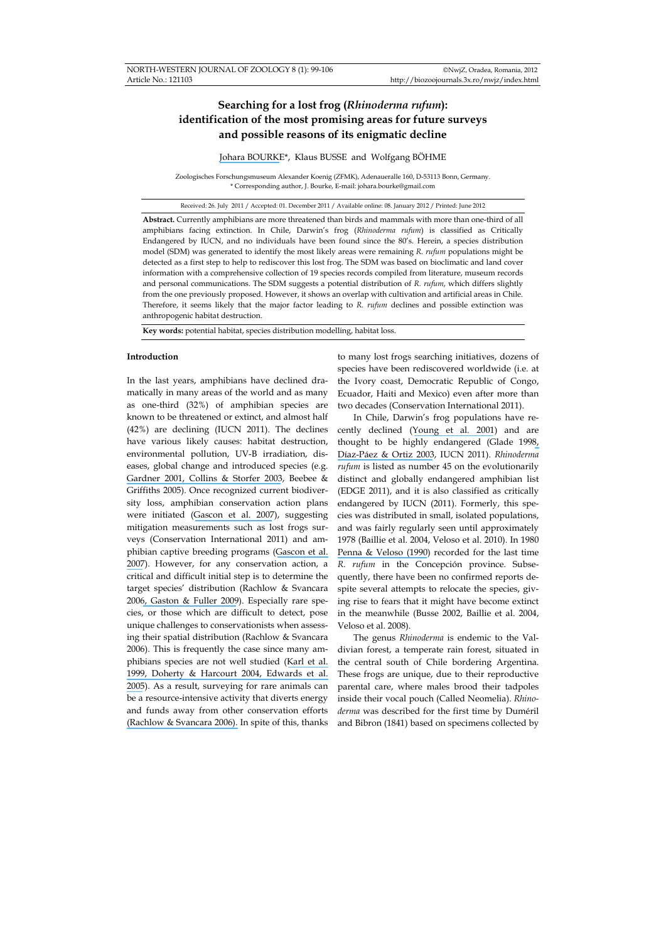# **Searching for a lost frog (***Rhinoderma rufum***): identification of the most promising areas for future surveys and possible reasons of its enigmatic decline**

[Johara BOURKE](https://www.researchgate.net/profile/Johara_Bourke2?el=1_x_100&enrichId=rgreq-f3f8238f6eb16f34ac2306766723702e-XXX&enrichSource=Y292ZXJQYWdlOzI2NDM1MTUzMjtBUzoxMjQ5MjQ0NDYzODQxMzBAMTQwNjc5NTcxNzkzMA==)\*, Klaus BUSSE and Wolfgang BÖHME

Zoologisches Forschungsmuseum Alexander Koenig (ZFMK), Adenaueralle 160, D-53113 Bonn, Germany. \* Corresponding author, J. Bourke, E-mail: johara.bourke@gmail.com

Received: 26. July 2011 / Accepted: 01. December 2011 / Available online: 08. January 2012 / Printed: June 2012

**Abstract.** Currently amphibians are more threatened than birds and mammals with more than one-third of all amphibians facing extinction. In Chile, Darwin's frog (*Rhinoderma rufum*) is classified as Critically Endangered by IUCN, and no individuals have been found since the 80's. Herein, a species distribution model (SDM) was generated to identify the most likely areas were remaining *R. rufum* populations might be detected as a first step to help to rediscover this lost frog. The SDM was based on bioclimatic and land cover information with a comprehensive collection of 19 species records compiled from literature, museum records and personal communications. The SDM suggests a potential distribution of *R. rufum*, which differs slightly from the one previously proposed. However, it shows an overlap with cultivation and artificial areas in Chile. Therefore, it seems likely that the major factor leading to *R. rufum* declines and possible extinction was anthropogenic habitat destruction.

**Key words:** potential habitat, species distribution modelling, habitat loss.

### **Introduction**

In the last years, amphibians have declined dramatically in many areas of the world and as many as one-third (32%) of amphibian species are known to be threatened or extinct, and almost half (42%) are declining (IUCN 2011). The declines have various likely causes: habitat destruction, environmental pollution, UV-B irradiation, diseases, global change and introduced species (e.g. [Gardner 2001](https://www.researchgate.net/publication/26411061_Declining_amphibian_populations_A_global_phenomenon_in_conservation_biology?el=1_x_8&enrichId=rgreq-f3f8238f6eb16f34ac2306766723702e-XXX&enrichSource=Y292ZXJQYWdlOzI2NDM1MTUzMjtBUzoxMjQ5MjQ0NDYzODQxMzBAMTQwNjc5NTcxNzkzMA==)[, Collins & Storfer 2003](https://www.researchgate.net/publication/227496326_Global_Amphibian_Declines_Sorting_the_Hypotheses?el=1_x_8&enrichId=rgreq-f3f8238f6eb16f34ac2306766723702e-XXX&enrichSource=Y292ZXJQYWdlOzI2NDM1MTUzMjtBUzoxMjQ5MjQ0NDYzODQxMzBAMTQwNjc5NTcxNzkzMA==), Beebee & Griffiths 2005). Once recognized current biodiversity loss, amphibian conservation action plans were initiated ([Gascon et al. 2007](https://www.researchgate.net/publication/227788503_Implementing_the_Amphibian_Conservation_Action_Plan?el=1_x_8&enrichId=rgreq-f3f8238f6eb16f34ac2306766723702e-XXX&enrichSource=Y292ZXJQYWdlOzI2NDM1MTUzMjtBUzoxMjQ5MjQ0NDYzODQxMzBAMTQwNjc5NTcxNzkzMA==)), suggesting mitigation measurements such as lost frogs surveys (Conservation International 2011) and amphibian captive breeding programs ([Gascon et al.](https://www.researchgate.net/publication/227788503_Implementing_the_Amphibian_Conservation_Action_Plan?el=1_x_8&enrichId=rgreq-f3f8238f6eb16f34ac2306766723702e-XXX&enrichSource=Y292ZXJQYWdlOzI2NDM1MTUzMjtBUzoxMjQ5MjQ0NDYzODQxMzBAMTQwNjc5NTcxNzkzMA==) [2007](https://www.researchgate.net/publication/227788503_Implementing_the_Amphibian_Conservation_Action_Plan?el=1_x_8&enrichId=rgreq-f3f8238f6eb16f34ac2306766723702e-XXX&enrichSource=Y292ZXJQYWdlOzI2NDM1MTUzMjtBUzoxMjQ5MjQ0NDYzODQxMzBAMTQwNjc5NTcxNzkzMA==)). However, for any conservation action, a critical and difficult initial step is to determine the target species' distribution (Rachlow & Svancara 200[6, Gaston & Fuller 2009](https://www.researchgate.net/publication/227987448_The_size_of_species)). Especially rare species, or those which are difficult to detect, pose unique challenges to conservationists when assessing their spatial distribution (Rachlow & Svancara 2006). This is frequently the case since many amphibians species are not well studied ([Karl et al.](https://www.researchgate.net/publication/288801523_Obtaining_environmental_measures_to_facilitate_vertebrate_habitat_modeling?el=1_x_8&enrichId=rgreq-f3f8238f6eb16f34ac2306766723702e-XXX&enrichSource=Y292ZXJQYWdlOzI2NDM1MTUzMjtBUzoxMjQ5MjQ0NDYzODQxMzBAMTQwNjc5NTcxNzkzMA==) [1999](https://www.researchgate.net/publication/288801523_Obtaining_environmental_measures_to_facilitate_vertebrate_habitat_modeling?el=1_x_8&enrichId=rgreq-f3f8238f6eb16f34ac2306766723702e-XXX&enrichSource=Y292ZXJQYWdlOzI2NDM1MTUzMjtBUzoxMjQ5MjQ0NDYzODQxMzBAMTQwNjc5NTcxNzkzMA==)[, Doherty & Harcourt 2004](https://www.researchgate.net/publication/229663846_Are_primate_taxa_specialists_or_simply_less_studied?el=1_x_8&enrichId=rgreq-f3f8238f6eb16f34ac2306766723702e-XXX&enrichSource=Y292ZXJQYWdlOzI2NDM1MTUzMjtBUzoxMjQ5MjQ0NDYzODQxMzBAMTQwNjc5NTcxNzkzMA==)[, Edwards et al.](https://www.researchgate.net/publication/216200322_Model-based_stratifications_for_enhancing_the_detection_of_rare_ecological_events?el=1_x_8&enrichId=rgreq-f3f8238f6eb16f34ac2306766723702e-XXX&enrichSource=Y292ZXJQYWdlOzI2NDM1MTUzMjtBUzoxMjQ5MjQ0NDYzODQxMzBAMTQwNjc5NTcxNzkzMA==) [2005](https://www.researchgate.net/publication/216200322_Model-based_stratifications_for_enhancing_the_detection_of_rare_ecological_events?el=1_x_8&enrichId=rgreq-f3f8238f6eb16f34ac2306766723702e-XXX&enrichSource=Y292ZXJQYWdlOzI2NDM1MTUzMjtBUzoxMjQ5MjQ0NDYzODQxMzBAMTQwNjc5NTcxNzkzMA==)). As a result, surveying for rare animals can be a resource-intensive activity that diverts energy and funds away from other conservation efforts [\(Rachlow & Svancara 2006\).](https://www.researchgate.net/publication/250068114_Prioritizing_habitat_for_surveys_of_an_uncommon_mammal_A_modeling_approach_applied_to_pygmy_rabbits?el=1_x_8&enrichId=rgreq-f3f8238f6eb16f34ac2306766723702e-XXX&enrichSource=Y292ZXJQYWdlOzI2NDM1MTUzMjtBUzoxMjQ5MjQ0NDYzODQxMzBAMTQwNjc5NTcxNzkzMA==) In spite of this, thanks to many lost frogs searching initiatives, dozens of species have been rediscovered worldwide (i.e. at the Ivory coast, Democratic Republic of Congo, Ecuador, Haiti and Mexico) even after more than two decades (Conservation International 2011).

In Chile, Darwin's frog populations have recently declined ([Young et al](https://www.researchgate.net/publication/220016969_Population_Declines_and_Priorities_for_Amphibian_Conservation_in_Latin_America?el=1_x_8&enrichId=rgreq-f3f8238f6eb16f34ac2306766723702e-XXX&enrichSource=Y292ZXJQYWdlOzI2NDM1MTUzMjtBUzoxMjQ5MjQ0NDYzODQxMzBAMTQwNjc5NTcxNzkzMA==)*.* 2001) and are thought to be highly endangered (Glade 199[8,](https://www.researchgate.net/publication/250373526_Evaluacion_del_estado_de_conservacion_de_los_anfibios_en_Chile?el=1_x_8&enrichId=rgreq-f3f8238f6eb16f34ac2306766723702e-XXX&enrichSource=Y292ZXJQYWdlOzI2NDM1MTUzMjtBUzoxMjQ5MjQ0NDYzODQxMzBAMTQwNjc5NTcxNzkzMA==)  [Díaz-Páez & Ortiz 2003](https://www.researchgate.net/publication/250373526_Evaluacion_del_estado_de_conservacion_de_los_anfibios_en_Chile?el=1_x_8&enrichId=rgreq-f3f8238f6eb16f34ac2306766723702e-XXX&enrichSource=Y292ZXJQYWdlOzI2NDM1MTUzMjtBUzoxMjQ5MjQ0NDYzODQxMzBAMTQwNjc5NTcxNzkzMA==), IUCN 2011). *Rhinoderma rufum* is listed as number 45 on the evolutionarily distinct and globally endangered amphibian list (EDGE 2011), and it is also classified as critically endangered by IUCN (2011). Formerly, this species was distributed in small, isolated populations, and was fairly regularly seen until approximately 1978 (Baillie et al. 2004, Veloso et al. 2010). In 1980 [Penna & Veloso \(1990](https://www.researchgate.net/publication/271804148_Vocal_Diversity_in_Frogs_of_the_South_American_Temperate_Forest?el=1_x_8&enrichId=rgreq-f3f8238f6eb16f34ac2306766723702e-XXX&enrichSource=Y292ZXJQYWdlOzI2NDM1MTUzMjtBUzoxMjQ5MjQ0NDYzODQxMzBAMTQwNjc5NTcxNzkzMA==)) recorded for the last time *R. rufum* in the Concepción province. Subsequently, there have been no confirmed reports despite several attempts to relocate the species, giving rise to fears that it might have become extinct in the meanwhile (Busse 2002, Baillie et al. 2004, Veloso et al. 2008).

The genus *Rhinoderma* is endemic to the Valdivian forest, a temperate rain forest, situated in the central south of Chile bordering Argentina. These frogs are unique, due to their reproductive parental care, where males brood their tadpoles inside their vocal pouch (Called Neomelia). *Rhinoderma* was described for the first time by Duméril and Bibron (1841) based on specimens collected by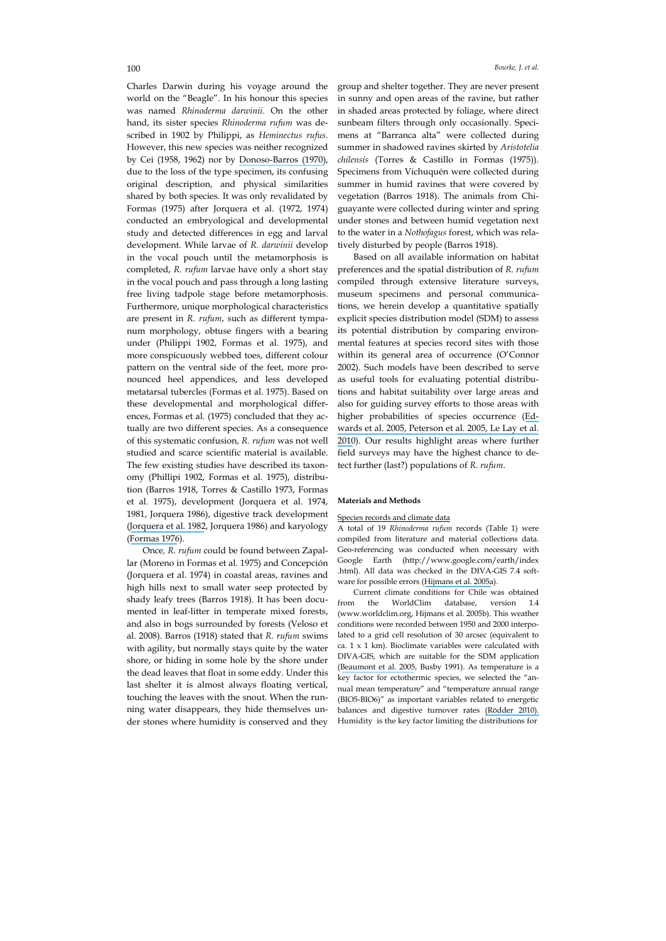Charles Darwin during his voyage around the world on the "Beagle". In his honour this species was named *Rhinoderma darwinii*. On the other hand, its sister species *Rhinoderma rufum* was described in 1902 by Philippi, as *Heminectus rufus*. However, this new species was neither recognized by Cei (1958, 1962) nor by [Donoso-Barros \(1970\)](https://www.researchgate.net/publication/292023590_Catalogo_herpetologico_chileno?el=1_x_8&enrichId=rgreq-f3f8238f6eb16f34ac2306766723702e-XXX&enrichSource=Y292ZXJQYWdlOzI2NDM1MTUzMjtBUzoxMjQ5MjQ0NDYzODQxMzBAMTQwNjc5NTcxNzkzMA==), due to the loss of the type specimen, its confusing original description, and physical similarities shared by both species. It was only revalidated by Formas (1975) after Jorquera et al. (1972, 1974) conducted an embryological and developmental study and detected differences in egg and larval development. While larvae of *R. darwinii* develop in the vocal pouch until the metamorphosis is completed, *R. rufum* larvae have only a short stay in the vocal pouch and pass through a long lasting free living tadpole stage before metamorphosis. Furthermore, unique morphological characteristics are present in *R. rufum*, such as different tympanum morphology, obtuse fingers with a bearing under (Philippi 1902, Formas et al. 1975), and more conspicuously webbed toes, different colour pattern on the ventral side of the feet, more pronounced heel appendices, and less developed metatarsal tubercles (Formas et al. 1975). Based on these developmental and morphological differences, Formas et al. (1975) concluded that they actually are two different species. As a consequence of this systematic confusion, *R. rufum* was not well studied and scarce scientific material is available. The few existing studies have described its taxonomy (Phillipi 1902, Formas et al. 1975), distribution (Barros 1918, Torres & Castillo 1973, Formas et al. 1975), development (Jorquera et al. 1974, 1981, Jorquera 1986), digestive track development ([Jorquera et al. 1982](https://www.researchgate.net/publication/271754914_Comparative_Studies_of_the_Digestive_Tract_Development_between_Rhinoderma_darwinii_and_R_rufum?el=1_x_8&enrichId=rgreq-f3f8238f6eb16f34ac2306766723702e-XXX&enrichSource=Y292ZXJQYWdlOzI2NDM1MTUzMjtBUzoxMjQ5MjQ0NDYzODQxMzBAMTQwNjc5NTcxNzkzMA==), Jorquera 1986) and karyology ([Formas 1976](https://www.researchgate.net/publication/22199962_New_karyological_data_of_Rhinoderma_The_chromosomes_of_Rhinoderma_rufum?el=1_x_8&enrichId=rgreq-f3f8238f6eb16f34ac2306766723702e-XXX&enrichSource=Y292ZXJQYWdlOzI2NDM1MTUzMjtBUzoxMjQ5MjQ0NDYzODQxMzBAMTQwNjc5NTcxNzkzMA==)).

Once*, R. rufum* could be found between Zapallar (Moreno in Formas et al. 1975) and Concepción (Jorquera et al. 1974) in coastal areas, ravines and high hills next to small water seep protected by shady leafy trees (Barros 1918). It has been documented in leaf-litter in temperate mixed forests, and also in bogs surrounded by forests (Veloso et al. 2008). Barros (1918) stated that *R. rufum* swims with agility, but normally stays quite by the water shore, or hiding in some hole by the shore under the dead leaves that float in some eddy. Under this last shelter it is almost always floating vertical, touching the leaves with the snout. When the running water disappears, they hide themselves under stones where humidity is conserved and they

group and shelter together. They are never present in sunny and open areas of the ravine, but rather in shaded areas protected by foliage, where direct sunbeam filters through only occasionally. Specimens at "Barranca alta" were collected during summer in shadowed ravines skirted by *Aristotelia chilensis* (Torres & Castillo in Formas (1975)). Specimens from Vichuquén were collected during summer in humid ravines that were covered by vegetation (Barros 1918). The animals from Chiguayante were collected during winter and spring under stones and between humid vegetation next to the water in a *Nothofagus* forest, which was relatively disturbed by people (Barros 1918).

Based on all available information on habitat preferences and the spatial distribution of *R. rufum* compiled through extensive literature surveys, museum specimens and personal communications, we herein develop a quantitative spatially explicit species distribution model (SDM) to assess its potential distribution by comparing environmental features at species record sites with those within its general area of occurrence (O'Connor 2002). Such models have been described to serve as useful tools for evaluating potential distributions and habitat suitability over large areas and also for guiding survey efforts to those areas with higher probabilities of species occurrence ([Ed](https://www.researchgate.net/publication/216200322_Model-based_stratifications_for_enhancing_the_detection_of_rare_ecological_events?el=1_x_8&enrichId=rgreq-f3f8238f6eb16f34ac2306766723702e-XXX&enrichSource=Y292ZXJQYWdlOzI2NDM1MTUzMjtBUzoxMjQ5MjQ0NDYzODQxMzBAMTQwNjc5NTcxNzkzMA==)[wards et al. 2005](https://www.researchgate.net/publication/216200322_Model-based_stratifications_for_enhancing_the_detection_of_rare_ecological_events?el=1_x_8&enrichId=rgreq-f3f8238f6eb16f34ac2306766723702e-XXX&enrichSource=Y292ZXJQYWdlOzI2NDM1MTUzMjtBUzoxMjQ5MjQ0NDYzODQxMzBAMTQwNjc5NTcxNzkzMA==)[, Peterson et al. 2005](https://www.researchgate.net/publication/286239999_Geographical_Information_Systems_and_Survey_Designs?el=1_x_8&enrichId=rgreq-f3f8238f6eb16f34ac2306766723702e-XXX&enrichSource=Y292ZXJQYWdlOzI2NDM1MTUzMjtBUzoxMjQ5MjQ0NDYzODQxMzBAMTQwNjc5NTcxNzkzMA==)[, Le Lay et al.](https://www.researchgate.net/publication/224935228_Prospective_sampling_based_on_model_ensembles_improves_the_detection_of_rare_species?el=1_x_8&enrichId=rgreq-f3f8238f6eb16f34ac2306766723702e-XXX&enrichSource=Y292ZXJQYWdlOzI2NDM1MTUzMjtBUzoxMjQ5MjQ0NDYzODQxMzBAMTQwNjc5NTcxNzkzMA==)  [2010](https://www.researchgate.net/publication/224935228_Prospective_sampling_based_on_model_ensembles_improves_the_detection_of_rare_species?el=1_x_8&enrichId=rgreq-f3f8238f6eb16f34ac2306766723702e-XXX&enrichSource=Y292ZXJQYWdlOzI2NDM1MTUzMjtBUzoxMjQ5MjQ0NDYzODQxMzBAMTQwNjc5NTcxNzkzMA==)). Our results highlight areas where further field surveys may have the highest chance to detect further (last?) populations of *R. rufum*.

#### **Materials and Methods**

# Species records and climate data

A total of 19 *Rhinoderma rufum* records (Table 1) were compiled from literature and material collections data. Geo-referencing was conducted when necessary with Google Earth (http://www.google.com/earth/index .html). All data was checked in the DIVA-GIS 7.4 software for possible errors ([Hijmans et al. 2005a](https://www.researchgate.net/publication/224839897_Very_high_resolution_interpolated_climate_surfaces_of_global_land_areas?el=1_x_8&enrichId=rgreq-f3f8238f6eb16f34ac2306766723702e-XXX&enrichSource=Y292ZXJQYWdlOzI2NDM1MTUzMjtBUzoxMjQ5MjQ0NDYzODQxMzBAMTQwNjc5NTcxNzkzMA==)).

Current climate conditions for Chile was obtained from the WorldClim database, version 1.4 (www.worldclim.org, Hijmans et al. 2005b). This weather conditions were recorded between 1950 and 2000 interpolated to a grid cell resolution of 30 arcsec (equivalent to ca. 1 x 1 km). Bioclimate variables were calculated with DIVA-GIS, which are suitable for the SDM application ([Beaumont et al. 2005](https://www.researchgate.net/publication/222062638_Predicting_species_distributions_Use_of_climatic_parameters_in_BIOCLIM_and_its_impact_on_predictions_of_species), Busby 1991). As temperature is a key factor for ectothermic species, we selected the "annual mean temperature" and "temperature annual range (BIO5-BIO6)" as important variables related to energetic balances and digestive turnover rates [\(Rödder 2010\).](https://www.researchgate.net/publication/232709549_Potential_Distribution_of_the_Alien_Invasive_Brown_Tree_Snake_Boiga_irregularis_Reptilia_Colubridae?el=1_x_8&enrichId=rgreq-f3f8238f6eb16f34ac2306766723702e-XXX&enrichSource=Y292ZXJQYWdlOzI2NDM1MTUzMjtBUzoxMjQ5MjQ0NDYzODQxMzBAMTQwNjc5NTcxNzkzMA==)  Humidity is the key factor limiting the distributions for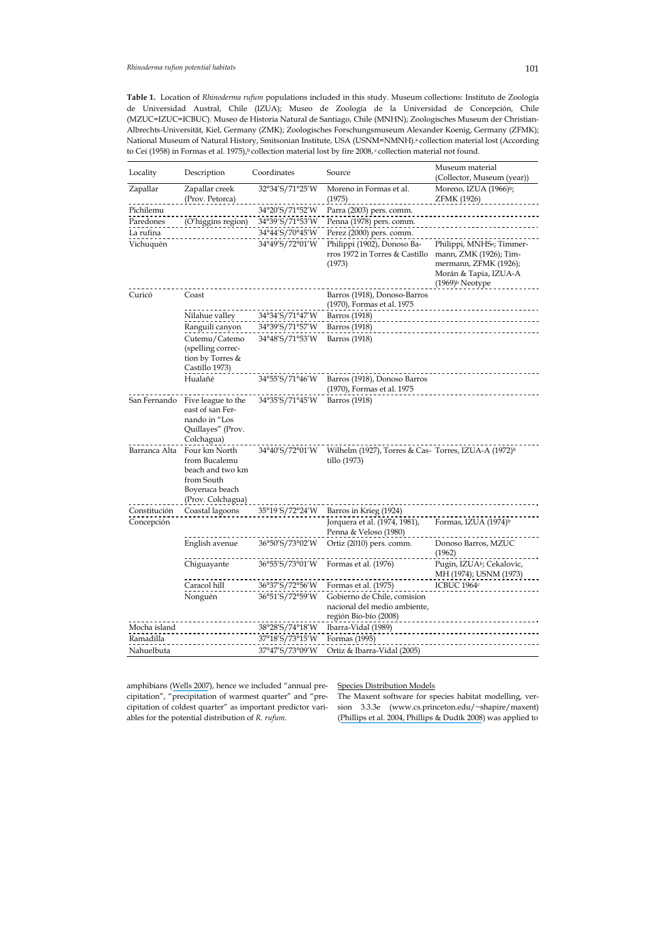**Table 1.** Location of *Rhinoderma rufum* populations included in this study. Museum collections: Instituto de Zoología de Universidad Austral, Chile (IZUA); Museo de Zoología de la Universidad de Concepción, Chile (MZUC=IZUC=ICBUC); Museo de Historia Natural de Santiago, Chile (MNHN); Zoologisches Museum der Christian-Albrechts-Universität, Kiel, Germany (ZMK); Zoologisches Forschungsmuseum Alexander Koenig, Germany (ZFMK); National Museum of Natural History, Smitsonian Institute, USA (USNM=NMNH).<sup>a</sup> collection material lost (According to Cei (1958) in Formas et al. 1975),<sup>b</sup> collection material lost by fire 2008, c collection material not found.

| Locality      | Description                                                                                             | Coordinates     | Source                                                                               | Museum material                                                                                                                                  |
|---------------|---------------------------------------------------------------------------------------------------------|-----------------|--------------------------------------------------------------------------------------|--------------------------------------------------------------------------------------------------------------------------------------------------|
|               |                                                                                                         |                 |                                                                                      | (Collector, Museum (year))                                                                                                                       |
| Zapallar      | Zapallar creek<br>(Prov. Petorca)                                                                       | 32°34'S/71°25'W | Moreno in Formas et al.<br>(1975)                                                    | Moreno, IZUA (1966) <sup>b</sup> ;<br><b>ZFMK (1926)</b>                                                                                         |
| Pichilemu     |                                                                                                         | 34°20′S/71°52′W | Parra (2003) pers. comm.                                                             |                                                                                                                                                  |
| Paredones     | (O'higgins region)                                                                                      | 34°39′S/71°53′W | Penna (1978) pers. comm.                                                             |                                                                                                                                                  |
| La rufina     |                                                                                                         | 34°44'S/70°45'W | Perez (2000) pers. comm.                                                             |                                                                                                                                                  |
| Vichuquén     |                                                                                                         | 34°49′S/72°01′W | Philippi (1902), Donoso Ba-<br>rros 1972 in Torres & Castillo<br>(1973)              | Philippi, MNHS <sup>a</sup> ; Timmer-<br>mann, ZMK (1926); Tim-<br>mermann, ZFMK (1926);<br>Morán & Tapia, IZUA-A<br>(1969) <sup>b</sup> Neotype |
| Curicó        | Coast                                                                                                   |                 | Barros (1918), Donoso-Barros<br>(1970), Formas et al. 1975                           |                                                                                                                                                  |
|               | Nilahue valley                                                                                          | 34°34′S/71°47′W | Barros (1918)                                                                        |                                                                                                                                                  |
|               | Ranguilí canyon                                                                                         | 34°39′S/71°57′W | Barros (1918)                                                                        |                                                                                                                                                  |
|               | Cutemu/Catemo                                                                                           | 34°48′S/71°53′W | Barros (1918)                                                                        |                                                                                                                                                  |
|               | (spelling correc-<br>tion by Torres &<br>Castillo 1973)                                                 |                 |                                                                                      |                                                                                                                                                  |
|               | Hualañé                                                                                                 | 34°55'S/71°46'W | Barros (1918), Donoso Barros<br>(1970), Formas et al. 1975                           |                                                                                                                                                  |
| San Fernando  | Five league to the<br>east of san Fer-<br>nando in "Los<br>Quillayes" (Prov.<br>Colchagua)              | 34°35′S/71°45′W | Barros (1918)                                                                        |                                                                                                                                                  |
| Barranca Alta | Four km North<br>from Bucalemu<br>beach and two km<br>from South<br>Boyeruca beach<br>(Prov. Colchagua) | 34°40′S/72°01′W | Wilhelm (1927), Torres & Cas- Torres, IZUA-A (1972) <sup>b</sup><br>tillo (1973)     |                                                                                                                                                  |
| Constitución  | Coastal lagoons                                                                                         | 35°19′S/72°24′W | Barros in Krieg (1924)                                                               |                                                                                                                                                  |
| Concepción    |                                                                                                         |                 | Jorquera et al. (1974, 1981),<br>Penna & Veloso (1980)                               | Formas, IZUA (1974) <sup>b</sup>                                                                                                                 |
|               | English avenue                                                                                          | 36°50'S/73°02'W | Ortiz (2010) pers. comm.                                                             | Donoso Barros, MZUC<br>(1962)                                                                                                                    |
|               | Chiguayante                                                                                             | 36°55′S/73°01′W | Formas et al. (1976)                                                                 | Pugin, IZUA <sup>b</sup> ; Cekalovic,<br>MH (1974); USNM (1973)                                                                                  |
|               | Caracol hill                                                                                            | 36°37′S/72°56′W | Formas et al. (1975)                                                                 | ICBUC 1964c                                                                                                                                      |
|               | Nonguén                                                                                                 | 36°51′S/72°59′W | Gobierno de Chile, comision<br>nacional del medio ambiente,<br>región Bio-bío (2008) |                                                                                                                                                  |
| Mocha island  |                                                                                                         | 38°28′S/74°18′W | Ibarra-Vidal (1989)                                                                  |                                                                                                                                                  |
| Ramadilla     |                                                                                                         | 37°18′S/73°15′W | Formas (1995)                                                                        |                                                                                                                                                  |
| Nahuelbuta    |                                                                                                         | 37°47′S/73°09′W | Ortiz & Ibarra-Vidal (2005)                                                          |                                                                                                                                                  |

amphibians ([Wells 2007](https://www.researchgate.net/publication/41113860_The_Ecology_Behavior_of_Amphibians?el=1_x_8&enrichId=rgreq-f3f8238f6eb16f34ac2306766723702e-XXX&enrichSource=Y292ZXJQYWdlOzI2NDM1MTUzMjtBUzoxMjQ5MjQ0NDYzODQxMzBAMTQwNjc5NTcxNzkzMA==)), hence we included "annual precipitation", "precipitation of warmest quarter" and "precipitation of coldest quarter" as important predictor variables for the potential distribution of *R. rufum*.

Species Distribution Models

The Maxent software for species habitat modelling, version 3.3.3e (www.cs.princeton.edu/~shapire/maxent) ([Phillips et al. 2004](https://www.researchgate.net/publication/221345128_A_Maximum_Entropy_Approach_to_Species_Distribution_Modeling?el=1_x_8&enrichId=rgreq-f3f8238f6eb16f34ac2306766723702e-XXX&enrichSource=Y292ZXJQYWdlOzI2NDM1MTUzMjtBUzoxMjQ5MjQ0NDYzODQxMzBAMTQwNjc5NTcxNzkzMA==)[, Phillips & Dudík 2008](https://www.researchgate.net/publication/227635331_Modeling_of_species_distributions_with_MAXENT_new_extensions_and_a_comprehensive_evaluation?el=1_x_8&enrichId=rgreq-f3f8238f6eb16f34ac2306766723702e-XXX&enrichSource=Y292ZXJQYWdlOzI2NDM1MTUzMjtBUzoxMjQ5MjQ0NDYzODQxMzBAMTQwNjc5NTcxNzkzMA==)) was applied to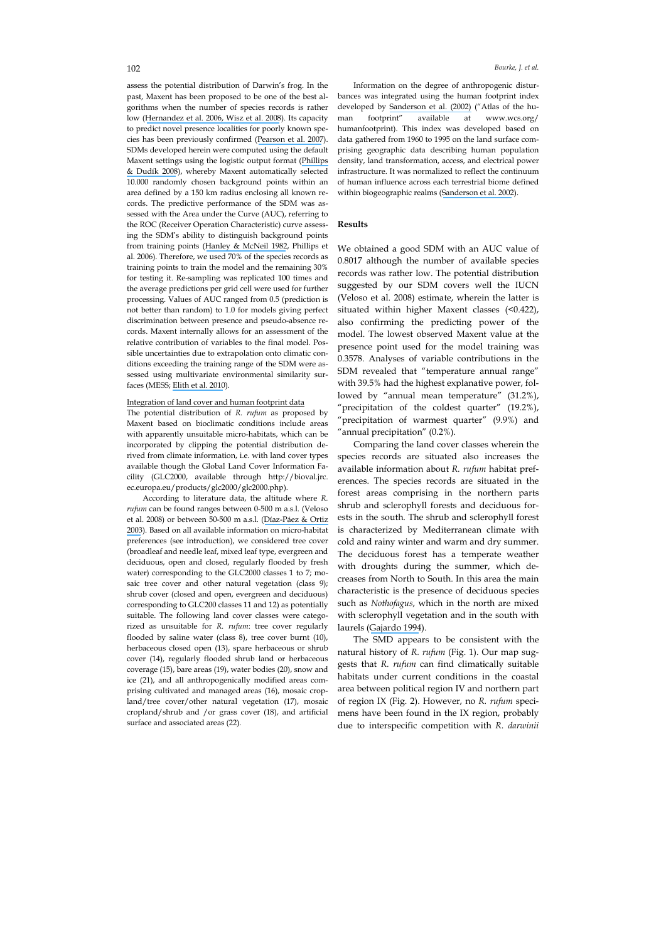assess the potential distribution of Darwin's frog. In the past, Maxent has been proposed to be one of the best algorithms when the number of species records is rather low ([Hernandez et al. 2006](https://www.researchgate.net/publication/227546950_The_effect_of_sample_size_and_species_characteristics_on_performance_of_different_species_distribution_modeling_methods?el=1_x_8&enrichId=rgreq-f3f8238f6eb16f34ac2306766723702e-XXX&enrichSource=Y292ZXJQYWdlOzI2NDM1MTUzMjtBUzoxMjQ5MjQ0NDYzODQxMzBAMTQwNjc5NTcxNzkzMA==)[, Wisz et al. 2008](https://www.researchgate.net/publication/269629083_Predicting_Species_Distributions_Working_Group_N_Effects_of_sample_size_on_the_performance_of_species_distribution_models?el=1_x_8&enrichId=rgreq-f3f8238f6eb16f34ac2306766723702e-XXX&enrichSource=Y292ZXJQYWdlOzI2NDM1MTUzMjtBUzoxMjQ5MjQ0NDYzODQxMzBAMTQwNjc5NTcxNzkzMA==)). Its capacity to predict novel presence localities for poorly known species has been previously confirmed ([Pearson et al. 2007](https://www.researchgate.net/publication/227714587_ORIGINAL_ARTICLE_Predicting_species_distributions_from_small_numbers_of_occurrence_records_a_test_case_using_cryptic_geckos_in_Madagascar?el=1_x_8&enrichId=rgreq-f3f8238f6eb16f34ac2306766723702e-XXX&enrichSource=Y292ZXJQYWdlOzI2NDM1MTUzMjtBUzoxMjQ5MjQ0NDYzODQxMzBAMTQwNjc5NTcxNzkzMA==)). SDMs developed herein were computed using the default Maxent settings using the logistic output format ([Phillips](https://www.researchgate.net/publication/227635331_Modeling_of_species_distributions_with_MAXENT_new_extensions_and_a_comprehensive_evaluation?el=1_x_8&enrichId=rgreq-f3f8238f6eb16f34ac2306766723702e-XXX&enrichSource=Y292ZXJQYWdlOzI2NDM1MTUzMjtBUzoxMjQ5MjQ0NDYzODQxMzBAMTQwNjc5NTcxNzkzMA==) [& Dudík 2008](https://www.researchgate.net/publication/227635331_Modeling_of_species_distributions_with_MAXENT_new_extensions_and_a_comprehensive_evaluation?el=1_x_8&enrichId=rgreq-f3f8238f6eb16f34ac2306766723702e-XXX&enrichSource=Y292ZXJQYWdlOzI2NDM1MTUzMjtBUzoxMjQ5MjQ0NDYzODQxMzBAMTQwNjc5NTcxNzkzMA==)), whereby Maxent automatically selected 10.000 randomly chosen background points within an area defined by a 150 km radius enclosing all known records. The predictive performance of the SDM was assessed with the Area under the Curve (AUC), referring to the ROC (Receiver Operation Characteristic) curve assessing the SDM's ability to distinguish background points from training points ([Hanley & McNeil 1982](https://www.researchgate.net/publication/16134792_The_Meaning_and_Use_of_the_Area_Under_a_Receiver_Operating_Characteristic_ROC_Curve?el=1_x_8&enrichId=rgreq-f3f8238f6eb16f34ac2306766723702e-XXX&enrichSource=Y292ZXJQYWdlOzI2NDM1MTUzMjtBUzoxMjQ5MjQ0NDYzODQxMzBAMTQwNjc5NTcxNzkzMA==), Phillips et al. 2006). Therefore, we used 70% of the species records as training points to train the model and the remaining 30% for testing it. Re-sampling was replicated 100 times and the average predictions per grid cell were used for further processing. Values of AUC ranged from 0.5 (prediction is not better than random) to 1.0 for models giving perfect discrimination between presence and pseudo-absence records. Maxent internally allows for an assessment of the relative contribution of variables to the final model. Possible uncertainties due to extrapolation onto climatic conditions exceeding the training range of the SDM were assessed using multivariate environmental similarity surfaces (MESS; [Elith et al. 2010](https://www.researchgate.net/publication/227604776_The_art_of_modeling_range-shifted_species?el=1_x_8&enrichId=rgreq-f3f8238f6eb16f34ac2306766723702e-XXX&enrichSource=Y292ZXJQYWdlOzI2NDM1MTUzMjtBUzoxMjQ5MjQ0NDYzODQxMzBAMTQwNjc5NTcxNzkzMA==)).

#### Integration of land cover and human footprint data

The potential distribution of *R. rufum* as proposed by Maxent based on bioclimatic conditions include areas with apparently unsuitable micro-habitats, which can be incorporated by clipping the potential distribution derived from climate information, i.e. with land cover types available though the Global Land Cover Information Facility (GLC2000, available through http://bioval.jrc. ec.europa.eu/products/glc2000/glc2000.php).

According to literature data, the altitude where *R. rufum* can be found ranges between 0-500 m a.s.l. (Veloso et al. 2008) or between 50-500 m a.s.l. ([Díaz-Páez & Ortiz](https://www.researchgate.net/publication/250373526_Evaluacion_del_estado_de_conservacion_de_los_anfibios_en_Chile?el=1_x_8&enrichId=rgreq-f3f8238f6eb16f34ac2306766723702e-XXX&enrichSource=Y292ZXJQYWdlOzI2NDM1MTUzMjtBUzoxMjQ5MjQ0NDYzODQxMzBAMTQwNjc5NTcxNzkzMA==) [2003](https://www.researchgate.net/publication/250373526_Evaluacion_del_estado_de_conservacion_de_los_anfibios_en_Chile?el=1_x_8&enrichId=rgreq-f3f8238f6eb16f34ac2306766723702e-XXX&enrichSource=Y292ZXJQYWdlOzI2NDM1MTUzMjtBUzoxMjQ5MjQ0NDYzODQxMzBAMTQwNjc5NTcxNzkzMA==)). Based on all available information on micro-habitat preferences (see introduction), we considered tree cover (broadleaf and needle leaf, mixed leaf type, evergreen and deciduous, open and closed, regularly flooded by fresh water) corresponding to the GLC2000 classes 1 to 7; mosaic tree cover and other natural vegetation (class 9); shrub cover (closed and open, evergreen and deciduous) corresponding to GLC200 classes 11 and 12) as potentially suitable. The following land cover classes were categorized as unsuitable for *R. rufum*: tree cover regularly flooded by saline water (class 8), tree cover burnt (10), herbaceous closed open (13), spare herbaceous or shrub cover (14), regularly flooded shrub land or herbaceous coverage (15), bare areas (19), water bodies (20), snow and ice (21), and all anthropogenically modified areas comprising cultivated and managed areas (16), mosaic cropland/tree cover/other natural vegetation (17), mosaic cropland/shrub and /or grass cover (18), and artificial surface and associated areas (22).

Information on the degree of anthropogenic disturbances was integrated using the human footprint index developed by [Sanderson et al. \(2002\)](https://www.researchgate.net/publication/232693478_The_Human_Footprint_and_the_Last_of_the_Wild?el=1_x_8&enrichId=rgreq-f3f8238f6eb16f34ac2306766723702e-XXX&enrichSource=Y292ZXJQYWdlOzI2NDM1MTUzMjtBUzoxMjQ5MjQ0NDYzODQxMzBAMTQwNjc5NTcxNzkzMA==) ("Atlas of the human footprint" available at www.wcs.org/ humanfootprint). This index was developed based on data gathered from 1960 to 1995 on the land surface comprising geographic data describing human population density, land transformation, access, and electrical power infrastructure. It was normalized to reflect the continuum of human influence across each terrestrial biome defined within biogeographic realms ([Sanderson et al. 2002](https://www.researchgate.net/publication/232693478_The_Human_Footprint_and_the_Last_of_the_Wild?el=1_x_8&enrichId=rgreq-f3f8238f6eb16f34ac2306766723702e-XXX&enrichSource=Y292ZXJQYWdlOzI2NDM1MTUzMjtBUzoxMjQ5MjQ0NDYzODQxMzBAMTQwNjc5NTcxNzkzMA==)).

# **Results**

We obtained a good SDM with an AUC value of 0.8017 although the number of available species records was rather low. The potential distribution suggested by our SDM covers well the IUCN (Veloso et al. 2008) estimate, wherein the latter is situated within higher Maxent classes (<0.422), also confirming the predicting power of the model. The lowest observed Maxent value at the presence point used for the model training was 0.3578. Analyses of variable contributions in the SDM revealed that "temperature annual range" with 39.5% had the highest explanative power, followed by "annual mean temperature" (31.2%), "precipitation of the coldest quarter" (19.2%), 'precipitation of warmest quarter" (9.9%) and "annual precipitation" (0.2%).

Comparing the land cover classes wherein the species records are situated also increases the available information about *R. rufum* habitat preferences. The species records are situated in the forest areas comprising in the northern parts shrub and sclerophyll forests and deciduous forests in the south. The shrub and sclerophyll forest is characterized by Mediterranean climate with cold and rainy winter and warm and dry summer. The deciduous forest has a temperate weather with droughts during the summer, which decreases from North to South. In this area the main characteristic is the presence of deciduous species such as *Nothofagus*, which in the north are mixed with sclerophyll vegetation and in the south with laurels ([Gajardo 1994](https://www.researchgate.net/publication/281322467_La_vegetacion_natural_de_Chile?el=1_x_8&enrichId=rgreq-f3f8238f6eb16f34ac2306766723702e-XXX&enrichSource=Y292ZXJQYWdlOzI2NDM1MTUzMjtBUzoxMjQ5MjQ0NDYzODQxMzBAMTQwNjc5NTcxNzkzMA==)).

The SMD appears to be consistent with the natural history of *R. rufum* (Fig. 1). Our map suggests that *R. rufum* can find climatically suitable habitats under current conditions in the coastal area between political region IV and northern part of region IX (Fig. 2). However, no *R. rufum* specimens have been found in the IX region, probably due to interspecific competition with *R. darwinii*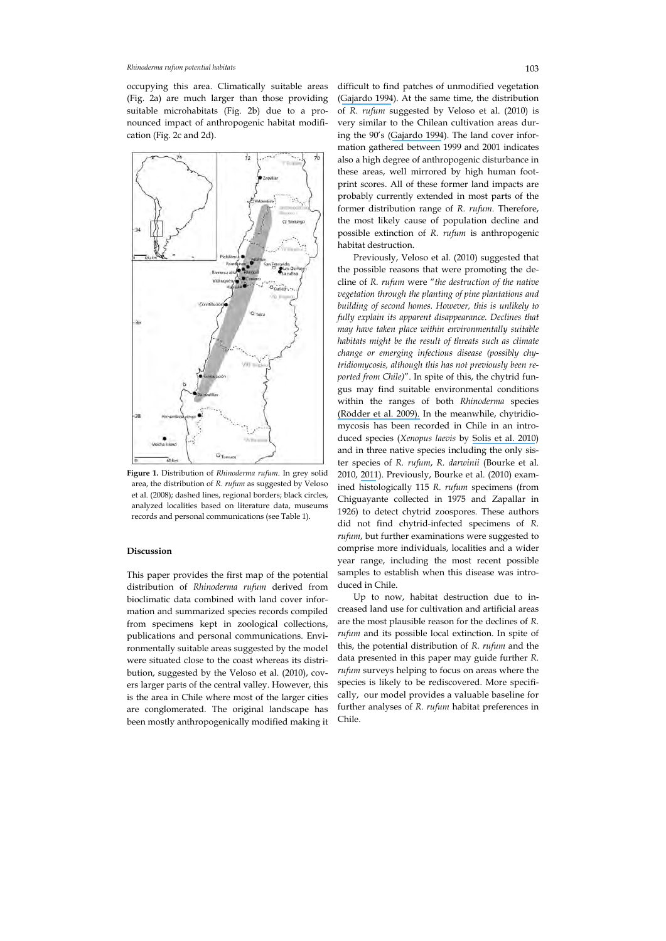#### *Rhinoderma rufum potential habitats* 103

occupying this area. Climatically suitable areas (Fig. 2a) are much larger than those providing suitable microhabitats (Fig. 2b) due to a pronounced impact of anthropogenic habitat modification (Fig. 2c and 2d).



**Figure 1.** Distribution of *Rhinoderma rufum*. In grey solid area, the distribution of *R. rufum* as suggested by Veloso et al. (2008); dashed lines, regional borders; black circles, analyzed localities based on literature data, museums records and personal communications (see Table 1).

## **Discussion**

This paper provides the first map of the potential distribution of *Rhinoderma rufum* derived from bioclimatic data combined with land cover information and summarized species records compiled from specimens kept in zoological collections, publications and personal communications. Environmentally suitable areas suggested by the model were situated close to the coast whereas its distribution, suggested by the Veloso et al. (2010), covers larger parts of the central valley. However, this is the area in Chile where most of the larger cities are conglomerated. The original landscape has been mostly anthropogenically modified making it difficult to find patches of unmodified vegetation ([Gajardo 1994](https://www.researchgate.net/publication/281322467_La_vegetacion_natural_de_Chile?el=1_x_8&enrichId=rgreq-f3f8238f6eb16f34ac2306766723702e-XXX&enrichSource=Y292ZXJQYWdlOzI2NDM1MTUzMjtBUzoxMjQ5MjQ0NDYzODQxMzBAMTQwNjc5NTcxNzkzMA==)). At the same time, the distribution of *R. rufum* suggested by Veloso et al. (2010) is very similar to the Chilean cultivation areas during the 90's ([Gajardo 1994](https://www.researchgate.net/publication/281322467_La_vegetacion_natural_de_Chile?el=1_x_8&enrichId=rgreq-f3f8238f6eb16f34ac2306766723702e-XXX&enrichSource=Y292ZXJQYWdlOzI2NDM1MTUzMjtBUzoxMjQ5MjQ0NDYzODQxMzBAMTQwNjc5NTcxNzkzMA==)). The land cover information gathered between 1999 and 2001 indicates also a high degree of anthropogenic disturbance in these areas, well mirrored by high human footprint scores. All of these former land impacts are probably currently extended in most parts of the former distribution range of *R. rufum*. Therefore, the most likely cause of population decline and possible extinction of *R. rufum* is anthropogenic habitat destruction.

Previously, Veloso et al. (2010) suggested that the possible reasons that were promoting the decline of *R. rufum* were "*the destruction of the native vegetation through the planting of pine plantations and building of second homes. However, this is unlikely to fully explain its apparent disappearance. Declines that may have taken place within environmentally suitable habitats might be the result of threats such as climate change or emerging infectious disease (possibly chytridiomycosis, although this has not previously been reported from Chile)*". In spite of this, the chytrid fungus may find suitable environmental conditions within the ranges of both *Rhinoderma* species [\(Rödder et al. 2009\).](https://www.researchgate.net/publication/38104751_Global_Amphibian_Extinction_Risk_Assessment_for_the_Panzootic_Chytrid_Fungus?el=1_x_8&enrichId=rgreq-f3f8238f6eb16f34ac2306766723702e-XXX&enrichSource=Y292ZXJQYWdlOzI2NDM1MTUzMjtBUzoxMjQ5MjQ0NDYzODQxMzBAMTQwNjc5NTcxNzkzMA==) In the meanwhile, chytridiomycosis has been recorded in Chile in an introduced species (*Xenopus laevis* by [Solis et al. 2010](https://www.researchgate.net/publication/44899598_Presence_of_Batrachochytrium_dendrobatidis_in_feral_populations_of_Xenopus_laevis_in_Chile?el=1_x_8&enrichId=rgreq-f3f8238f6eb16f34ac2306766723702e-XXX&enrichSource=Y292ZXJQYWdlOzI2NDM1MTUzMjtBUzoxMjQ5MjQ0NDYzODQxMzBAMTQwNjc5NTcxNzkzMA==)) and in three native species including the only sister species of *R. rufum*, *R. darwinii* (Bourke et al. 2010, [2011](https://www.researchgate.net/publication/51656542_New_records_of_Batrachochytrium_dendrobatidis_in_Chilean_frogs?el=1_x_8&enrichId=rgreq-f3f8238f6eb16f34ac2306766723702e-XXX&enrichSource=Y292ZXJQYWdlOzI2NDM1MTUzMjtBUzoxMjQ5MjQ0NDYzODQxMzBAMTQwNjc5NTcxNzkzMA==)). Previously, Bourke et al. (2010) examined histologically 115 *R. rufum* specimens (from Chiguayante collected in 1975 and Zapallar in 1926) to detect chytrid zoospores. These authors did not find chytrid-infected specimens of *R. rufum*, but further examinations were suggested to comprise more individuals, localities and a wider year range, including the most recent possible samples to establish when this disease was introduced in Chile.

Up to now, habitat destruction due to increased land use for cultivation and artificial areas are the most plausible reason for the declines of *R. rufum* and its possible local extinction. In spite of this, the potential distribution of *R. rufum* and the data presented in this paper may guide further *R. rufum* surveys helping to focus on areas where the species is likely to be rediscovered. More specifically, our model provides a valuable baseline for further analyses of *R. rufum* habitat preferences in Chile.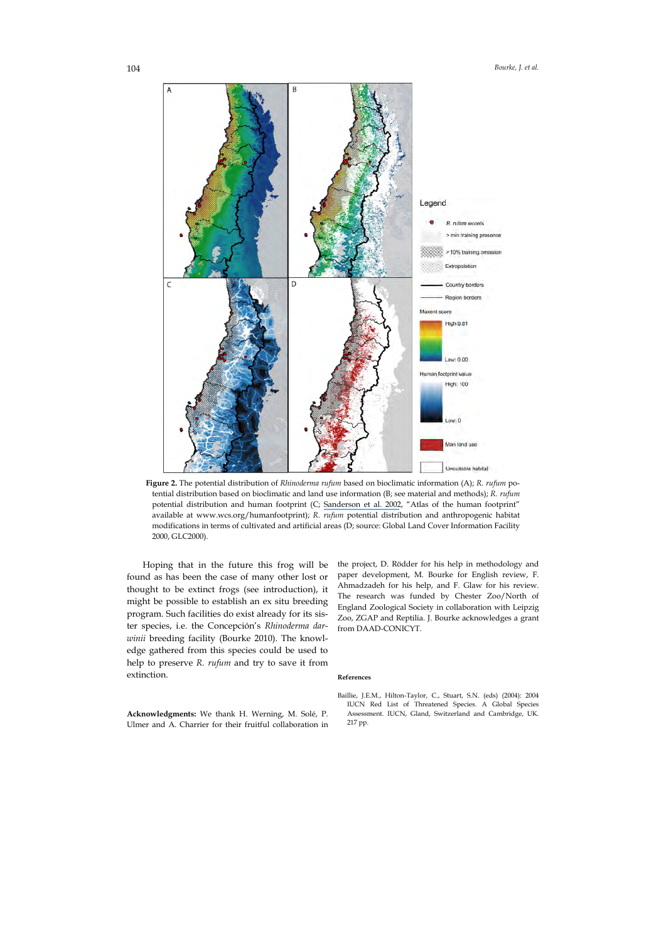

**Figure 2.** The potential distribution of *Rhinoderma rufum* based on bioclimatic information (A); *R. rufum* potential distribution based on bioclimatic and land use information (B; see material and methods); *R. rufum* potential distribution and human footprint (C; [Sanderson et al. 2002](https://www.researchgate.net/publication/232693478_The_Human_Footprint_and_the_Last_of_the_Wild?el=1_x_8&enrichId=rgreq-f3f8238f6eb16f34ac2306766723702e-XXX&enrichSource=Y292ZXJQYWdlOzI2NDM1MTUzMjtBUzoxMjQ5MjQ0NDYzODQxMzBAMTQwNjc5NTcxNzkzMA==), "Atlas of the human footprint" available at www.wcs.org/humanfootprint); *R. rufum* potential distribution and anthropogenic habitat modifications in terms of cultivated and artificial areas (D; source: Global Land Cover Information Facility 2000, GLC2000).

Hoping that in the future this frog will be found as has been the case of many other lost or thought to be extinct frogs (see introduction), it might be possible to establish an ex situ breeding program. Such facilities do exist already for its sister species, i.e. the Concepción's *Rhinoderma darwinii* breeding facility (Bourke 2010). The knowledge gathered from this species could be used to help to preserve *R. rufum* and try to save it from extinction.

the project, D. Rödder for his help in methodology and paper development, M. Bourke for English review, F. Ahmadzadeh for his help, and F. Glaw for his review. The research was funded by Chester Zoo/North of England Zoological Society in collaboration with Leipzig Zoo, ZGAP and Reptilia. J. Bourke acknowledges a grant from DAAD-CONICYT.

# **References**

**Acknowledgments:** We thank H. Werning, M. Solé, P. Ulmer and A. Charrier for their fruitful collaboration in Baillie, J.E.M., Hilton-Taylor, C., Stuart, S.N. (eds) (2004): 2004 IUCN Red List of Threatened Species. A Global Species Assessment. IUCN, Gland, Switzerland and Cambridge, UK. 217 pp.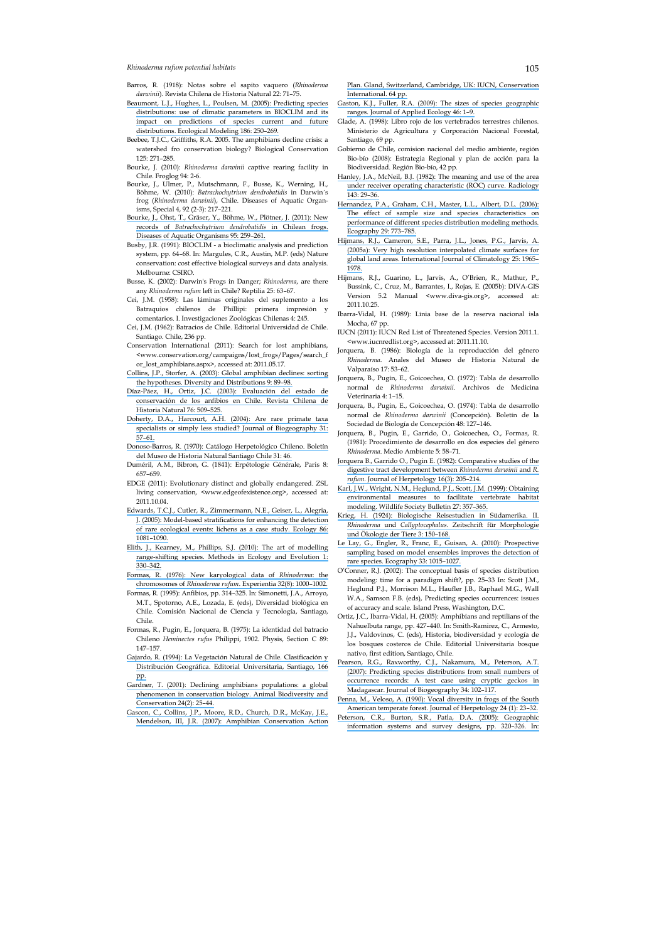*Rhinoderma rufum potential habitats* 105

- Barros, R. (1918): Notas sobre el sapito vaquero (*Rhinoderma darwinii*). Revista Chilena de Historia Natural 22: 71–75.
- [Beaumont, L.J., Hughes, L., Poulsen, M. \(2005\): Predicting species](https://www.researchgate.net/publication/222062638_Predicting_species_distributions_Use_of_climatic_parameters_in_BIOCLIM_and_its_impact_on_predictions_of_species) [distributions: use of climatic parameters in BIOCLIM and its](https://www.researchgate.net/publication/222062638_Predicting_species_distributions_Use_of_climatic_parameters_in_BIOCLIM_and_its_impact_on_predictions_of_species) [impact on predictions of species current and future](https://www.researchgate.net/publication/222062638_Predicting_species_distributions_Use_of_climatic_parameters_in_BIOCLIM_and_its_impact_on_predictions_of_species) [distributions. Ecological Modeling 186: 250–269.](https://www.researchgate.net/publication/222062638_Predicting_species_distributions_Use_of_climatic_parameters_in_BIOCLIM_and_its_impact_on_predictions_of_species)
- Beebee, T.J.C., Griffiths, R.A. 2005. The amphibians decline crisis: a watershed fro conservation biology? Biological Conservation 125: 271–285.
- Bourke, J. (2010): *Rhinoderma darwinii* captive rearing facility in Chile. Froglog 94: 2-6.
- Bourke, J., Ulmer, P., Mutschmann, F., Busse, K., Werning, H., Böhme, W. (2010): *Batrachochytrium dendrobatidis* in Darwin´s frog (*Rhinoderma darwinii*), Chile. Diseases of Aquatic Organisms, Special 4, 92 (2-3): 217–221.
- [Bourke, J., Ohst, T., Gräser, Y., Böhme, W., Plötner, J. \(2011\): New](https://www.researchgate.net/publication/51656542_New_records_of_Batrachochytrium_dendrobatidis_in_Chilean_frogs?el=1_x_8&enrichId=rgreq-f3f8238f6eb16f34ac2306766723702e-XXX&enrichSource=Y292ZXJQYWdlOzI2NDM1MTUzMjtBUzoxMjQ5MjQ0NDYzODQxMzBAMTQwNjc5NTcxNzkzMA==) records of *[Batrachochytrium dendrobatidis](https://www.researchgate.net/publication/51656542_New_records_of_Batrachochytrium_dendrobatidis_in_Chilean_frogs?el=1_x_8&enrichId=rgreq-f3f8238f6eb16f34ac2306766723702e-XXX&enrichSource=Y292ZXJQYWdlOzI2NDM1MTUzMjtBUzoxMjQ5MjQ0NDYzODQxMzBAMTQwNjc5NTcxNzkzMA==)* in Chilean frogs. [Diseases of Aquatic Organisms 95: 259–261.](https://www.researchgate.net/publication/51656542_New_records_of_Batrachochytrium_dendrobatidis_in_Chilean_frogs?el=1_x_8&enrichId=rgreq-f3f8238f6eb16f34ac2306766723702e-XXX&enrichSource=Y292ZXJQYWdlOzI2NDM1MTUzMjtBUzoxMjQ5MjQ0NDYzODQxMzBAMTQwNjc5NTcxNzkzMA==)
- Busby, J.R. (1991): BIOCLIM a bioclimatic analysis and prediction system, pp. 64–68. In: Margules, C.R., Austin, M.P. (eds) Nature conservation: cost effective biological surveys and data analysis. Melbourne: CSIRO.
- Busse, K. (2002): Darwin's Frogs in Danger; *Rhinoderma*, are there any *Rhinoderma rufum* left in Chile? Reptilia 25: 63–67.
- Cei, J.M. (1958): Las láminas originales del suplemento a los Batraquios chilenos de Phillipi: primera impresión y comentarios. I. Investigaciones Zoológicas Chilenas 4: 245.
- Cei, J.M. (1962): Batracios de Chile. Editorial Universidad de Chile. Santiago. Chile, 236 pp.
- Conservation International (2011): Search for lost amphibians, <www.conservation.org/campaigns/lost\_frogs/Pages/search\_f or\_lost\_amphibians.aspx>, accessed at: 2011.05.17.
- [Collins, J.P., Storfer, A. \(2003\): Global amphibian declines: sorting](https://www.researchgate.net/publication/227496326_Global_Amphibian_Declines_Sorting_the_Hypotheses?el=1_x_8&enrichId=rgreq-f3f8238f6eb16f34ac2306766723702e-XXX&enrichSource=Y292ZXJQYWdlOzI2NDM1MTUzMjtBUzoxMjQ5MjQ0NDYzODQxMzBAMTQwNjc5NTcxNzkzMA==) [the hypotheses. Diversity and Distributions 9: 89–98.](https://www.researchgate.net/publication/227496326_Global_Amphibian_Declines_Sorting_the_Hypotheses?el=1_x_8&enrichId=rgreq-f3f8238f6eb16f34ac2306766723702e-XXX&enrichSource=Y292ZXJQYWdlOzI2NDM1MTUzMjtBUzoxMjQ5MjQ0NDYzODQxMzBAMTQwNjc5NTcxNzkzMA==)
- [Díaz-Páez, H., Ortiz, J.C. \(2003\): Evaluación del estado de](https://www.researchgate.net/publication/250373526_Evaluacion_del_estado_de_conservacion_de_los_anfibios_en_Chile?el=1_x_8&enrichId=rgreq-f3f8238f6eb16f34ac2306766723702e-XXX&enrichSource=Y292ZXJQYWdlOzI2NDM1MTUzMjtBUzoxMjQ5MjQ0NDYzODQxMzBAMTQwNjc5NTcxNzkzMA==) [conservación de los anfibios en Chile. Revista Chilena de](https://www.researchgate.net/publication/250373526_Evaluacion_del_estado_de_conservacion_de_los_anfibios_en_Chile?el=1_x_8&enrichId=rgreq-f3f8238f6eb16f34ac2306766723702e-XXX&enrichSource=Y292ZXJQYWdlOzI2NDM1MTUzMjtBUzoxMjQ5MjQ0NDYzODQxMzBAMTQwNjc5NTcxNzkzMA==) [Historia Natural 76: 509–525.](https://www.researchgate.net/publication/250373526_Evaluacion_del_estado_de_conservacion_de_los_anfibios_en_Chile?el=1_x_8&enrichId=rgreq-f3f8238f6eb16f34ac2306766723702e-XXX&enrichSource=Y292ZXJQYWdlOzI2NDM1MTUzMjtBUzoxMjQ5MjQ0NDYzODQxMzBAMTQwNjc5NTcxNzkzMA==)
- [Doherty, D.A., Harcourt, A.H. \(2004\): Are rare primate taxa](https://www.researchgate.net/publication/229663846_Are_primate_taxa_specialists_or_simply_less_studied?el=1_x_8&enrichId=rgreq-f3f8238f6eb16f34ac2306766723702e-XXX&enrichSource=Y292ZXJQYWdlOzI2NDM1MTUzMjtBUzoxMjQ5MjQ0NDYzODQxMzBAMTQwNjc5NTcxNzkzMA==) [specialists or simply less studied? Journal of Biogeography 31:](https://www.researchgate.net/publication/229663846_Are_primate_taxa_specialists_or_simply_less_studied?el=1_x_8&enrichId=rgreq-f3f8238f6eb16f34ac2306766723702e-XXX&enrichSource=Y292ZXJQYWdlOzI2NDM1MTUzMjtBUzoxMjQ5MjQ0NDYzODQxMzBAMTQwNjc5NTcxNzkzMA==) [57–61.](https://www.researchgate.net/publication/229663846_Are_primate_taxa_specialists_or_simply_less_studied?el=1_x_8&enrichId=rgreq-f3f8238f6eb16f34ac2306766723702e-XXX&enrichSource=Y292ZXJQYWdlOzI2NDM1MTUzMjtBUzoxMjQ5MjQ0NDYzODQxMzBAMTQwNjc5NTcxNzkzMA==)
- [Donoso-Barros, R. \(1970\): Catálogo Herpetológico Chileno. Boletín](https://www.researchgate.net/publication/292023590_Catalogo_herpetologico_chileno?el=1_x_8&enrichId=rgreq-f3f8238f6eb16f34ac2306766723702e-XXX&enrichSource=Y292ZXJQYWdlOzI2NDM1MTUzMjtBUzoxMjQ5MjQ0NDYzODQxMzBAMTQwNjc5NTcxNzkzMA==) [del Museo de Historia Natural Santiago Chile 31: 46.](https://www.researchgate.net/publication/292023590_Catalogo_herpetologico_chileno?el=1_x_8&enrichId=rgreq-f3f8238f6eb16f34ac2306766723702e-XXX&enrichSource=Y292ZXJQYWdlOzI2NDM1MTUzMjtBUzoxMjQ5MjQ0NDYzODQxMzBAMTQwNjc5NTcxNzkzMA==)
- Duméril, A.M., Bibron, G. (1841): Erpétologie Générale, Paris 8: 657–659.
- EDGE (2011): Evolutionary distinct and globally endangered. ZSL living conservation, <www.edgeofexistence.org>, accessed at: 2011.10.04.
- [Edwards, T.C.J., Cutler, R., Zimmermann, N.E., Geiser, L., Alegria,](https://www.researchgate.net/publication/216200322_Model-based_stratifications_for_enhancing_the_detection_of_rare_ecological_events?el=1_x_8&enrichId=rgreq-f3f8238f6eb16f34ac2306766723702e-XXX&enrichSource=Y292ZXJQYWdlOzI2NDM1MTUzMjtBUzoxMjQ5MjQ0NDYzODQxMzBAMTQwNjc5NTcxNzkzMA==) [J. \(2005\): Model-based stratifications for enhancing the detection](https://www.researchgate.net/publication/216200322_Model-based_stratifications_for_enhancing_the_detection_of_rare_ecological_events?el=1_x_8&enrichId=rgreq-f3f8238f6eb16f34ac2306766723702e-XXX&enrichSource=Y292ZXJQYWdlOzI2NDM1MTUzMjtBUzoxMjQ5MjQ0NDYzODQxMzBAMTQwNjc5NTcxNzkzMA==)  [of rare ecological events: lichens as a case study. Ecology 86:](https://www.researchgate.net/publication/216200322_Model-based_stratifications_for_enhancing_the_detection_of_rare_ecological_events?el=1_x_8&enrichId=rgreq-f3f8238f6eb16f34ac2306766723702e-XXX&enrichSource=Y292ZXJQYWdlOzI2NDM1MTUzMjtBUzoxMjQ5MjQ0NDYzODQxMzBAMTQwNjc5NTcxNzkzMA==) [1081–1090.](https://www.researchgate.net/publication/216200322_Model-based_stratifications_for_enhancing_the_detection_of_rare_ecological_events?el=1_x_8&enrichId=rgreq-f3f8238f6eb16f34ac2306766723702e-XXX&enrichSource=Y292ZXJQYWdlOzI2NDM1MTUzMjtBUzoxMjQ5MjQ0NDYzODQxMzBAMTQwNjc5NTcxNzkzMA==)
- [Elith, J., Kearney, M., Phillips, S.J. \(2010\): The art of modelling](https://www.researchgate.net/publication/227604776_The_art_of_modeling_range-shifted_species?el=1_x_8&enrichId=rgreq-f3f8238f6eb16f34ac2306766723702e-XXX&enrichSource=Y292ZXJQYWdlOzI2NDM1MTUzMjtBUzoxMjQ5MjQ0NDYzODQxMzBAMTQwNjc5NTcxNzkzMA==) [range-shifting species. Methods in Ecology and Evolution 1:](https://www.researchgate.net/publication/227604776_The_art_of_modeling_range-shifted_species?el=1_x_8&enrichId=rgreq-f3f8238f6eb16f34ac2306766723702e-XXX&enrichSource=Y292ZXJQYWdlOzI2NDM1MTUzMjtBUzoxMjQ5MjQ0NDYzODQxMzBAMTQwNjc5NTcxNzkzMA==) [330–342.](https://www.researchgate.net/publication/227604776_The_art_of_modeling_range-shifted_species?el=1_x_8&enrichId=rgreq-f3f8238f6eb16f34ac2306766723702e-XXX&enrichSource=Y292ZXJQYWdlOzI2NDM1MTUzMjtBUzoxMjQ5MjQ0NDYzODQxMzBAMTQwNjc5NTcxNzkzMA==)
- [Formas, R. \(1976\): New karyological data of](https://www.researchgate.net/publication/22199962_New_karyological_data_of_Rhinoderma_The_chromosomes_of_Rhinoderma_rufum?el=1_x_8&enrichId=rgreq-f3f8238f6eb16f34ac2306766723702e-XXX&enrichSource=Y292ZXJQYWdlOzI2NDM1MTUzMjtBUzoxMjQ5MjQ0NDYzODQxMzBAMTQwNjc5NTcxNzkzMA==) *Rhinoderma*: the chromosomes of *Rhinoderma rufum*[. Experientia 32\(8\): 1000–1002.](https://www.researchgate.net/publication/22199962_New_karyological_data_of_Rhinoderma_The_chromosomes_of_Rhinoderma_rufum?el=1_x_8&enrichId=rgreq-f3f8238f6eb16f34ac2306766723702e-XXX&enrichSource=Y292ZXJQYWdlOzI2NDM1MTUzMjtBUzoxMjQ5MjQ0NDYzODQxMzBAMTQwNjc5NTcxNzkzMA==)
- Formas, R. (1995): Anfibios, pp. 314–325. In: Simonetti, J.A., Arroyo, M.T., Spotorno, A.E., Lozada, E. (eds), Diversidad biológica en Chile. Comisión Nacional de Ciencia y Tecnología, Santiago, Chile.
- Formas, R., Pugin, E., Jorquera, B. (1975): La identidad del batracio Chileno *Heminectes rufus* Philippi, 1902. Physis, Section C 89: 147–157.
- [Gajardo, R. \(1994\): La Vegetación Natural de Chile. Clasificación y](https://www.researchgate.net/publication/281322467_La_vegetacion_natural_de_Chile?el=1_x_8&enrichId=rgreq-f3f8238f6eb16f34ac2306766723702e-XXX&enrichSource=Y292ZXJQYWdlOzI2NDM1MTUzMjtBUzoxMjQ5MjQ0NDYzODQxMzBAMTQwNjc5NTcxNzkzMA==) [Distribución Geográfica. Editorial Universitaria, Santiago, 166](https://www.researchgate.net/publication/281322467_La_vegetacion_natural_de_Chile?el=1_x_8&enrichId=rgreq-f3f8238f6eb16f34ac2306766723702e-XXX&enrichSource=Y292ZXJQYWdlOzI2NDM1MTUzMjtBUzoxMjQ5MjQ0NDYzODQxMzBAMTQwNjc5NTcxNzkzMA==) [pp.](https://www.researchgate.net/publication/281322467_La_vegetacion_natural_de_Chile?el=1_x_8&enrichId=rgreq-f3f8238f6eb16f34ac2306766723702e-XXX&enrichSource=Y292ZXJQYWdlOzI2NDM1MTUzMjtBUzoxMjQ5MjQ0NDYzODQxMzBAMTQwNjc5NTcxNzkzMA==)
- [Gardner, T. \(2001\): Declining amphibians populations: a global](https://www.researchgate.net/publication/26411061_Declining_amphibian_populations_A_global_phenomenon_in_conservation_biology?el=1_x_8&enrichId=rgreq-f3f8238f6eb16f34ac2306766723702e-XXX&enrichSource=Y292ZXJQYWdlOzI2NDM1MTUzMjtBUzoxMjQ5MjQ0NDYzODQxMzBAMTQwNjc5NTcxNzkzMA==) [phenomenon in conservation biology. Animal Biodiversity and](https://www.researchgate.net/publication/26411061_Declining_amphibian_populations_A_global_phenomenon_in_conservation_biology?el=1_x_8&enrichId=rgreq-f3f8238f6eb16f34ac2306766723702e-XXX&enrichSource=Y292ZXJQYWdlOzI2NDM1MTUzMjtBUzoxMjQ5MjQ0NDYzODQxMzBAMTQwNjc5NTcxNzkzMA==) [Conservation 24\(2\): 25–44.](https://www.researchgate.net/publication/26411061_Declining_amphibian_populations_A_global_phenomenon_in_conservation_biology?el=1_x_8&enrichId=rgreq-f3f8238f6eb16f34ac2306766723702e-XXX&enrichSource=Y292ZXJQYWdlOzI2NDM1MTUzMjtBUzoxMjQ5MjQ0NDYzODQxMzBAMTQwNjc5NTcxNzkzMA==)
- [Gascon, C., Collins, J.P., Moore, R.D., Church, D.R., McKay, J.E.,](https://www.researchgate.net/publication/227788503_Implementing_the_Amphibian_Conservation_Action_Plan?el=1_x_8&enrichId=rgreq-f3f8238f6eb16f34ac2306766723702e-XXX&enrichSource=Y292ZXJQYWdlOzI2NDM1MTUzMjtBUzoxMjQ5MjQ0NDYzODQxMzBAMTQwNjc5NTcxNzkzMA==) [Mendelson, III, J.R. \(2007\): Amphibian Conservation Action](https://www.researchgate.net/publication/227788503_Implementing_the_Amphibian_Conservation_Action_Plan?el=1_x_8&enrichId=rgreq-f3f8238f6eb16f34ac2306766723702e-XXX&enrichSource=Y292ZXJQYWdlOzI2NDM1MTUzMjtBUzoxMjQ5MjQ0NDYzODQxMzBAMTQwNjc5NTcxNzkzMA==)

[Plan. Gland, Switzerland, Cambridge, UK: IUCN, Conservation](https://www.researchgate.net/publication/227788503_Implementing_the_Amphibian_Conservation_Action_Plan?el=1_x_8&enrichId=rgreq-f3f8238f6eb16f34ac2306766723702e-XXX&enrichSource=Y292ZXJQYWdlOzI2NDM1MTUzMjtBUzoxMjQ5MjQ0NDYzODQxMzBAMTQwNjc5NTcxNzkzMA==)  [International. 64 pp.](https://www.researchgate.net/publication/227788503_Implementing_the_Amphibian_Conservation_Action_Plan?el=1_x_8&enrichId=rgreq-f3f8238f6eb16f34ac2306766723702e-XXX&enrichSource=Y292ZXJQYWdlOzI2NDM1MTUzMjtBUzoxMjQ5MjQ0NDYzODQxMzBAMTQwNjc5NTcxNzkzMA==)

- [Gaston, K.J., Fuller, R.A. \(2009\): The sizes of species geographic](https://www.researchgate.net/publication/227987448_The_size_of_species)  [ranges. Journal of Applied Ecology 46: 1–9.](https://www.researchgate.net/publication/227987448_The_size_of_species)
- Glade, A. (1998): Libro rojo de los vertebrados terrestres chilenos*.*  Ministerio de Agricultura y Corporación Nacional Forestal, Santiago, 69 pp.
- Gobierno de Chile, comision nacional del medio ambiente, región Bio-bío (2008): Estrategia Regional y plan de acción para la Biodiversidad. Región Bio-bío, 42 pp.
- [Hanley, J.A., McNeil, B.J. \(1982\): The meaning and use of the area](https://www.researchgate.net/publication/16134792_The_Meaning_and_Use_of_the_Area_Under_a_Receiver_Operating_Characteristic_ROC_Curve?el=1_x_8&enrichId=rgreq-f3f8238f6eb16f34ac2306766723702e-XXX&enrichSource=Y292ZXJQYWdlOzI2NDM1MTUzMjtBUzoxMjQ5MjQ0NDYzODQxMzBAMTQwNjc5NTcxNzkzMA==)  [under receiver operating characteristic \(ROC\) curve. Radiology](https://www.researchgate.net/publication/16134792_The_Meaning_and_Use_of_the_Area_Under_a_Receiver_Operating_Characteristic_ROC_Curve?el=1_x_8&enrichId=rgreq-f3f8238f6eb16f34ac2306766723702e-XXX&enrichSource=Y292ZXJQYWdlOzI2NDM1MTUzMjtBUzoxMjQ5MjQ0NDYzODQxMzBAMTQwNjc5NTcxNzkzMA==)  [143: 29–36.](https://www.researchgate.net/publication/16134792_The_Meaning_and_Use_of_the_Area_Under_a_Receiver_Operating_Characteristic_ROC_Curve?el=1_x_8&enrichId=rgreq-f3f8238f6eb16f34ac2306766723702e-XXX&enrichSource=Y292ZXJQYWdlOzI2NDM1MTUzMjtBUzoxMjQ5MjQ0NDYzODQxMzBAMTQwNjc5NTcxNzkzMA==)
- [Hernandez, P.A., Graham, C.H., Master, L.L., Albert, D.L. \(2006\):](https://www.researchgate.net/publication/227546950_The_effect_of_sample_size_and_species_characteristics_on_performance_of_different_species_distribution_modeling_methods?el=1_x_8&enrichId=rgreq-f3f8238f6eb16f34ac2306766723702e-XXX&enrichSource=Y292ZXJQYWdlOzI2NDM1MTUzMjtBUzoxMjQ5MjQ0NDYzODQxMzBAMTQwNjc5NTcxNzkzMA==)  [The effect of sample size and species characteristics on](https://www.researchgate.net/publication/227546950_The_effect_of_sample_size_and_species_characteristics_on_performance_of_different_species_distribution_modeling_methods?el=1_x_8&enrichId=rgreq-f3f8238f6eb16f34ac2306766723702e-XXX&enrichSource=Y292ZXJQYWdlOzI2NDM1MTUzMjtBUzoxMjQ5MjQ0NDYzODQxMzBAMTQwNjc5NTcxNzkzMA==)  [performance of different species distribution modeling methods.](https://www.researchgate.net/publication/227546950_The_effect_of_sample_size_and_species_characteristics_on_performance_of_different_species_distribution_modeling_methods?el=1_x_8&enrichId=rgreq-f3f8238f6eb16f34ac2306766723702e-XXX&enrichSource=Y292ZXJQYWdlOzI2NDM1MTUzMjtBUzoxMjQ5MjQ0NDYzODQxMzBAMTQwNjc5NTcxNzkzMA==)  [Ecography 29: 773–785.](https://www.researchgate.net/publication/227546950_The_effect_of_sample_size_and_species_characteristics_on_performance_of_different_species_distribution_modeling_methods?el=1_x_8&enrichId=rgreq-f3f8238f6eb16f34ac2306766723702e-XXX&enrichSource=Y292ZXJQYWdlOzI2NDM1MTUzMjtBUzoxMjQ5MjQ0NDYzODQxMzBAMTQwNjc5NTcxNzkzMA==)
- [Hijmans, R.J., Cameron, S.E., Parra, J.L., Jones, P.G., Jarvis, A.](https://www.researchgate.net/publication/224839897_Very_high_resolution_interpolated_climate_surfaces_of_global_land_areas?el=1_x_8&enrichId=rgreq-f3f8238f6eb16f34ac2306766723702e-XXX&enrichSource=Y292ZXJQYWdlOzI2NDM1MTUzMjtBUzoxMjQ5MjQ0NDYzODQxMzBAMTQwNjc5NTcxNzkzMA==)  [\(2005a\): Very high resolution interpolated climate surfaces for](https://www.researchgate.net/publication/224839897_Very_high_resolution_interpolated_climate_surfaces_of_global_land_areas?el=1_x_8&enrichId=rgreq-f3f8238f6eb16f34ac2306766723702e-XXX&enrichSource=Y292ZXJQYWdlOzI2NDM1MTUzMjtBUzoxMjQ5MjQ0NDYzODQxMzBAMTQwNjc5NTcxNzkzMA==)  [global land areas. International Journal of Climatology 25: 1965–](https://www.researchgate.net/publication/224839897_Very_high_resolution_interpolated_climate_surfaces_of_global_land_areas?el=1_x_8&enrichId=rgreq-f3f8238f6eb16f34ac2306766723702e-XXX&enrichSource=Y292ZXJQYWdlOzI2NDM1MTUzMjtBUzoxMjQ5MjQ0NDYzODQxMzBAMTQwNjc5NTcxNzkzMA==) [1978.](https://www.researchgate.net/publication/224839897_Very_high_resolution_interpolated_climate_surfaces_of_global_land_areas?el=1_x_8&enrichId=rgreq-f3f8238f6eb16f34ac2306766723702e-XXX&enrichSource=Y292ZXJQYWdlOzI2NDM1MTUzMjtBUzoxMjQ5MjQ0NDYzODQxMzBAMTQwNjc5NTcxNzkzMA==)
- Hijmans, R.J., Guarino, L., Jarvis, A., O'Brien, R., Mathur, P., Bussink, C., Cruz, M., Barrantes, I., Rojas, E. (2005b): DIVA-GIS Version 5.2 Manual <www.diva-gis.org>, accessed at: 2011.10.25.
- Ibarra-Vidal, H. (1989): Línia base de la reserva nacional isla Mocha, 67 pp.
- IUCN (2011): IUCN Red List of Threatened Species. Version 2011.1. <www.iucnredlist.org>, accessed at: 2011.11.10.
- Jorquera, B. (1986): Biología de la reproducción del género *Rhinoderma*. Anales del Museo de Historia Natural de Valparaíso 17: 53–62.
- Jorquera, B., Pugín, E., Goicoechea, O. (1972): Tabla de desarrollo normal de *Rhinoderma darwinii*. Archivos de Medicina Veterinaria 4: 1–15.
- Jorquera, B., Pugin, E., Goicoechea, O. (1974): Tabla de desarrollo normal de *Rhinoderma darwinii* (Concepción). Boletín de la Sociedad de Biología de Concepción 48: 127–146.
- Jorquera, B., Pugin, E., Garrido, O., Goicoechea, O., Formas, R. (1981): Procedimiento de desarrollo en dos especies del género *Rhinoderma*. Medio Ambiente 5: 58–71.
- [Jorquera B., Garrido O., Pugin E. \(1982\): Comparative studies of the](https://www.researchgate.net/publication/271754914_Comparative_Studies_of_the_Digestive_Tract_Development_between_Rhinoderma_darwinii_and_R_rufum?el=1_x_8&enrichId=rgreq-f3f8238f6eb16f34ac2306766723702e-XXX&enrichSource=Y292ZXJQYWdlOzI2NDM1MTUzMjtBUzoxMjQ5MjQ0NDYzODQxMzBAMTQwNjc5NTcxNzkzMA==)  [digestive tract development between](https://www.researchgate.net/publication/271754914_Comparative_Studies_of_the_Digestive_Tract_Development_between_Rhinoderma_darwinii_and_R_rufum?el=1_x_8&enrichId=rgreq-f3f8238f6eb16f34ac2306766723702e-XXX&enrichSource=Y292ZXJQYWdlOzI2NDM1MTUzMjtBUzoxMjQ5MjQ0NDYzODQxMzBAMTQwNjc5NTcxNzkzMA==) *Rhinoderma darwinii* and *R. rufum.* [Journal of Herpetology 16\(3\): 205–214.](https://www.researchgate.net/publication/271754914_Comparative_Studies_of_the_Digestive_Tract_Development_between_Rhinoderma_darwinii_and_R_rufum?el=1_x_8&enrichId=rgreq-f3f8238f6eb16f34ac2306766723702e-XXX&enrichSource=Y292ZXJQYWdlOzI2NDM1MTUzMjtBUzoxMjQ5MjQ0NDYzODQxMzBAMTQwNjc5NTcxNzkzMA==)
- [Karl, J.W., Wright, N.M., Heglund, P.J., Scott, J.M. \(1999\): Obtaining](https://www.researchgate.net/publication/288801523_Obtaining_environmental_measures_to_facilitate_vertebrate_habitat_modeling?el=1_x_8&enrichId=rgreq-f3f8238f6eb16f34ac2306766723702e-XXX&enrichSource=Y292ZXJQYWdlOzI2NDM1MTUzMjtBUzoxMjQ5MjQ0NDYzODQxMzBAMTQwNjc5NTcxNzkzMA==)  [environmental measures to facilitate vertebrate habitat](https://www.researchgate.net/publication/288801523_Obtaining_environmental_measures_to_facilitate_vertebrate_habitat_modeling?el=1_x_8&enrichId=rgreq-f3f8238f6eb16f34ac2306766723702e-XXX&enrichSource=Y292ZXJQYWdlOzI2NDM1MTUzMjtBUzoxMjQ5MjQ0NDYzODQxMzBAMTQwNjc5NTcxNzkzMA==)  [modeling. Wildlife Society Bulletin 27: 357–365.](https://www.researchgate.net/publication/288801523_Obtaining_environmental_measures_to_facilitate_vertebrate_habitat_modeling?el=1_x_8&enrichId=rgreq-f3f8238f6eb16f34ac2306766723702e-XXX&enrichSource=Y292ZXJQYWdlOzI2NDM1MTUzMjtBUzoxMjQ5MjQ0NDYzODQxMzBAMTQwNjc5NTcxNzkzMA==)
- [Krieg, H. \(1924\): Biologische Reisestudien in Südamerika. II.](https://www.researchgate.net/publication/248079410_Biologische_reisestudien_in_Sdamerika_II_Rhinoderma_und_calyptocephalus?el=1_x_8&enrichId=rgreq-f3f8238f6eb16f34ac2306766723702e-XXX&enrichSource=Y292ZXJQYWdlOzI2NDM1MTUzMjtBUzoxMjQ5MjQ0NDYzODQxMzBAMTQwNjc5NTcxNzkzMA==)  *Rhinoderma* und *Callyptocephalus*[. Zeitschrift für Morphologie](https://www.researchgate.net/publication/248079410_Biologische_reisestudien_in_Sdamerika_II_Rhinoderma_und_calyptocephalus?el=1_x_8&enrichId=rgreq-f3f8238f6eb16f34ac2306766723702e-XXX&enrichSource=Y292ZXJQYWdlOzI2NDM1MTUzMjtBUzoxMjQ5MjQ0NDYzODQxMzBAMTQwNjc5NTcxNzkzMA==)  [und Ökologie der Tiere 3: 150–168.](https://www.researchgate.net/publication/248079410_Biologische_reisestudien_in_Sdamerika_II_Rhinoderma_und_calyptocephalus?el=1_x_8&enrichId=rgreq-f3f8238f6eb16f34ac2306766723702e-XXX&enrichSource=Y292ZXJQYWdlOzI2NDM1MTUzMjtBUzoxMjQ5MjQ0NDYzODQxMzBAMTQwNjc5NTcxNzkzMA==)
- [Le Lay, G., Engler, R., Franc, E., Guisan, A. \(2010\): Prospective](https://www.researchgate.net/publication/224935228_Prospective_sampling_based_on_model_ensembles_improves_the_detection_of_rare_species?el=1_x_8&enrichId=rgreq-f3f8238f6eb16f34ac2306766723702e-XXX&enrichSource=Y292ZXJQYWdlOzI2NDM1MTUzMjtBUzoxMjQ5MjQ0NDYzODQxMzBAMTQwNjc5NTcxNzkzMA==)  sampling based on model ensembles improves the detection of [rare species. Ecography 33: 1015–1027.](https://www.researchgate.net/publication/224935228_Prospective_sampling_based_on_model_ensembles_improves_the_detection_of_rare_species?el=1_x_8&enrichId=rgreq-f3f8238f6eb16f34ac2306766723702e-XXX&enrichSource=Y292ZXJQYWdlOzI2NDM1MTUzMjtBUzoxMjQ5MjQ0NDYzODQxMzBAMTQwNjc5NTcxNzkzMA==)
- O'Conner, R.J. (2002): The conceptual basis of species distribution modeling: time for a paradigm shift?, pp. 25–33 In: Scott J.M., Heglund P.J., Morrison M.L., Haufler J.B., Raphael M.G., Wall W.A., Samson F.B. (eds), Predicting species occurrences: issues of accuracy and scale. Island Press, Washington, D.C.
- Ortiz, J.C., Ibarra-Vidal, H. (2005): Amphibians and reptilians of the Nahuelbuta range, pp. 427–440. In: Smith-Ramirez, C., Armesto, J.J., Valdovinos, C. (eds), Historia, biodiversidad y ecología de los bosques costeros de Chile. Editorial Universitaria bosque nativo, first edition, Santiago, Chile.
- [Pearson, R.G., Raxworthy, C.J., Nakamura, M., Peterson, A.T.](https://www.researchgate.net/publication/227714587_ORIGINAL_ARTICLE_Predicting_species_distributions_from_small_numbers_of_occurrence_records_a_test_case_using_cryptic_geckos_in_Madagascar?el=1_x_8&enrichId=rgreq-f3f8238f6eb16f34ac2306766723702e-XXX&enrichSource=Y292ZXJQYWdlOzI2NDM1MTUzMjtBUzoxMjQ5MjQ0NDYzODQxMzBAMTQwNjc5NTcxNzkzMA==)  [\(2007\): Predicting species distributions from small numbers of](https://www.researchgate.net/publication/227714587_ORIGINAL_ARTICLE_Predicting_species_distributions_from_small_numbers_of_occurrence_records_a_test_case_using_cryptic_geckos_in_Madagascar?el=1_x_8&enrichId=rgreq-f3f8238f6eb16f34ac2306766723702e-XXX&enrichSource=Y292ZXJQYWdlOzI2NDM1MTUzMjtBUzoxMjQ5MjQ0NDYzODQxMzBAMTQwNjc5NTcxNzkzMA==)  [occurrence records: A test case using cryptic geckos in](https://www.researchgate.net/publication/227714587_ORIGINAL_ARTICLE_Predicting_species_distributions_from_small_numbers_of_occurrence_records_a_test_case_using_cryptic_geckos_in_Madagascar?el=1_x_8&enrichId=rgreq-f3f8238f6eb16f34ac2306766723702e-XXX&enrichSource=Y292ZXJQYWdlOzI2NDM1MTUzMjtBUzoxMjQ5MjQ0NDYzODQxMzBAMTQwNjc5NTcxNzkzMA==)  [Madagascar. Journal of Biogeography 34: 102–117.](https://www.researchgate.net/publication/227714587_ORIGINAL_ARTICLE_Predicting_species_distributions_from_small_numbers_of_occurrence_records_a_test_case_using_cryptic_geckos_in_Madagascar?el=1_x_8&enrichId=rgreq-f3f8238f6eb16f34ac2306766723702e-XXX&enrichSource=Y292ZXJQYWdlOzI2NDM1MTUzMjtBUzoxMjQ5MjQ0NDYzODQxMzBAMTQwNjc5NTcxNzkzMA==)
- [Penna, M., Veloso, A. \(1990\): Vocal diversity in frogs of the South](https://www.researchgate.net/publication/271804148_Vocal_Diversity_in_Frogs_of_the_South_American_Temperate_Forest?el=1_x_8&enrichId=rgreq-f3f8238f6eb16f34ac2306766723702e-XXX&enrichSource=Y292ZXJQYWdlOzI2NDM1MTUzMjtBUzoxMjQ5MjQ0NDYzODQxMzBAMTQwNjc5NTcxNzkzMA==)  [American temperate forest. Journal of Herpetology 24 \(1\): 23–32.](https://www.researchgate.net/publication/271804148_Vocal_Diversity_in_Frogs_of_the_South_American_Temperate_Forest?el=1_x_8&enrichId=rgreq-f3f8238f6eb16f34ac2306766723702e-XXX&enrichSource=Y292ZXJQYWdlOzI2NDM1MTUzMjtBUzoxMjQ5MjQ0NDYzODQxMzBAMTQwNjc5NTcxNzkzMA==)
- [Peterson, C.R., Burton, S.R., Patla, D.A. \(2005\): Geographic](https://www.researchgate.net/publication/286239999_Geographical_Information_Systems_and_Survey_Designs?el=1_x_8&enrichId=rgreq-f3f8238f6eb16f34ac2306766723702e-XXX&enrichSource=Y292ZXJQYWdlOzI2NDM1MTUzMjtBUzoxMjQ5MjQ0NDYzODQxMzBAMTQwNjc5NTcxNzkzMA==)  [information systems and survey designs, pp. 320–326. In:](https://www.researchgate.net/publication/286239999_Geographical_Information_Systems_and_Survey_Designs?el=1_x_8&enrichId=rgreq-f3f8238f6eb16f34ac2306766723702e-XXX&enrichSource=Y292ZXJQYWdlOzI2NDM1MTUzMjtBUzoxMjQ5MjQ0NDYzODQxMzBAMTQwNjc5NTcxNzkzMA==)